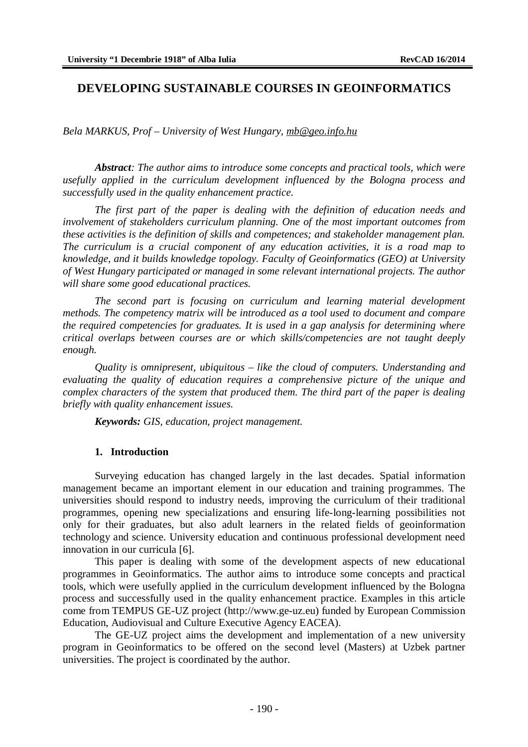# **DEVELOPING SUSTAINABLE COURSES IN GEOINFORMATICS**

*Bela MARKUS, Prof – University of West Hungary, [mb@geo.info.hu](mailto:mb@geo.info.hu)*

*Abstract: The author aims to introduce some concepts and practical tools, which were usefully applied in the curriculum development influenced by the Bologna process and successfully used in the quality enhancement practice.*

*The first part of the paper is dealing with the definition of education needs and involvement of stakeholders curriculum planning. One of the most important outcomes from these activities is the definition of skills and competences; and stakeholder management plan. The curriculum is a crucial component of any education activities, it is a road map to knowledge, and it builds knowledge topology. Faculty of Geoinformatics (GEO) at University of West Hungary participated or managed in some relevant international projects. The author will share some good educational practices.*

*The second part is focusing on curriculum and learning material development methods. The competency matrix will be introduced as a tool used to document and compare the required competencies for graduates. It is used in a gap analysis for determining where critical overlaps between courses are or which skills/competencies are not taught deeply enough.*

*Quality is omnipresent, ubiquitous – like the cloud of computers. Understanding and evaluating the quality of education requires a comprehensive picture of the unique and complex characters of the system that produced them. The third part of the paper is dealing briefly with quality enhancement issues.*

*Keywords: GIS, education, project management.*

#### **1. Introduction**

Surveying education has changed largely in the last decades. Spatial information management became an important element in our education and training programmes. The universities should respond to industry needs, improving the curriculum of their traditional programmes, opening new specializations and ensuring life-long-learning possibilities not only for their graduates, but also adult learners in the related fields of geoinformation technology and science. University education and continuous professional development need innovation in our curricula [6].

This paper is dealing with some of the development aspects of new educational programmes in Geoinformatics. The author aims to introduce some concepts and practical tools, which were usefully applied in the curriculum development influenced by the Bologna process and successfully used in the quality enhancement practice. Examples in this article come from TEMPUS GE-UZ project ([http://www.ge-uz.eu\)](http://www.ge-uz.eu)) funded by European Commission Education, Audiovisual and Culture Executive Agency EACEA).

The GE-UZ project aims the development and implementation of a new university program in Geoinformatics to be offered on the second level (Masters) at Uzbek partner universities. The project is coordinated by the author.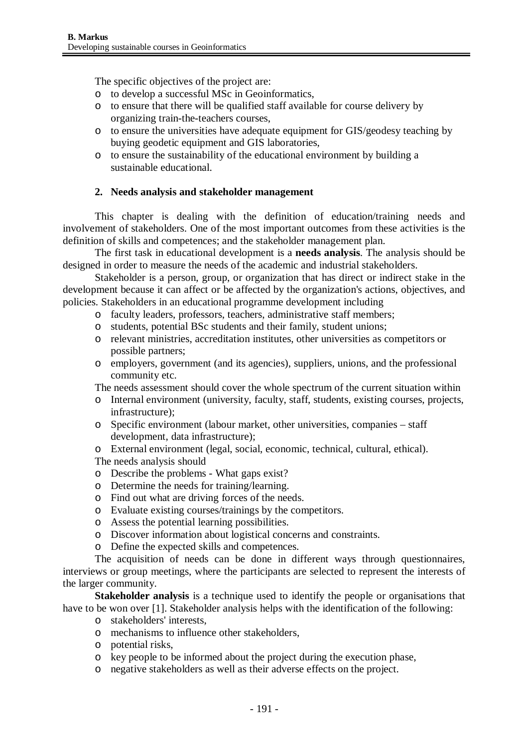The specific objectives of the project are:

- o to develop a successful MSc in Geoinformatics,
- o to ensure that there will be qualified staff available for course delivery by organizing train-the-teachers courses,
- o to ensure the universities have adequate equipment for GIS/geodesy teaching by buying geodetic equipment and GIS laboratories,
- o to ensure the sustainability of the educational environment by building a sustainable educational.

## **2. Needs analysis and stakeholder management**

This chapter is dealing with the definition of education/training needs and involvement of stakeholders. One of the most important outcomes from these activities is the definition of skills and competences; and the stakeholder management plan.

The first task in educational development is a **needs analysis**. The analysis should be designed in order to measure the needs of the academic and industrial stakeholders.

Stakeholder is a person, group, or organization that has direct or indirect stake in the development because it can affect or be affected by the organization's actions, objectives, and policies. Stakeholders in an educational programme development including

- o faculty leaders, professors, teachers, administrative staff members;
- o students, potential BSc students and their family, student unions;
- o relevant ministries, accreditation institutes, other universities as competitors or possible partners;
- o employers, government (and its agencies), suppliers, unions, and the professional community etc.

The needs assessment should cover the whole spectrum of the current situation within

- o Internal environment (university, faculty, staff, students, existing courses, projects, infrastructure);
- o Specific environment (labour market, other universities, companies staff development, data infrastructure);
- o External environment (legal, social, economic, technical, cultural, ethical).

The needs analysis should

- o Describe the problems What gaps exist?
- o Determine the needs for training/learning.
- o Find out what are driving forces of the needs.
- o Evaluate existing courses/trainings by the competitors.
- o Assess the potential learning possibilities.
- o Discover information about logistical concerns and constraints.
- o Define the expected skills and competences.

The acquisition of needs can be done in different ways through questionnaires, interviews or group meetings, where the participants are selected to represent the interests of the larger community.

**Stakeholder analysis** is a technique used to identify the people or organisations that have to be won over [1]. Stakeholder analysis helps with the identification of the following:

- o stakeholders' interests,
- o mechanisms to influence other stakeholders,
- o potential risks,
- o key people to be informed about the project during the execution phase,
- o negative stakeholders as well as their adverse effects on the project.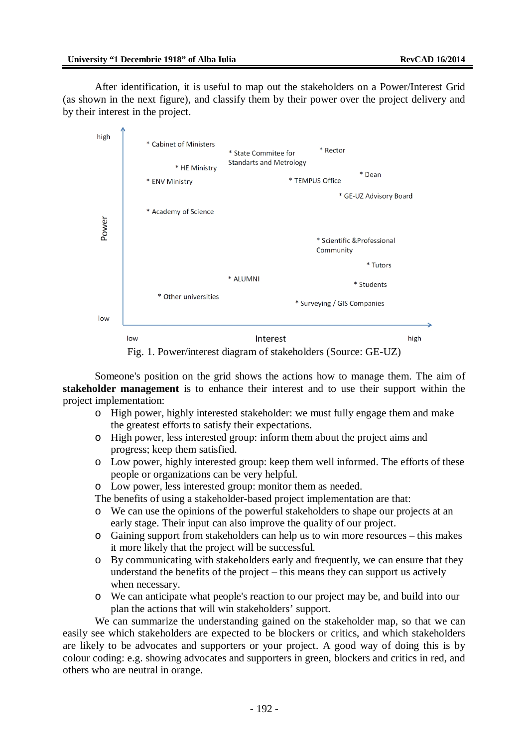After identification, it is useful to map out the stakeholders on a Power/Interest Grid (as shown in the next figure), and classify them by their power over the project delivery and by their interest in the project.



Fig. 1. Power/interest diagram of stakeholders (Source: GE-UZ)

Someone's position on the grid shows the actions how to manage them. The aim of **stakeholder management** is to enhance their interest and to use their support within the project implementation:

- o High power, highly interested stakeholder: we must fully engage them and make the greatest efforts to satisfy their expectations.
- o High power, less interested group: inform them about the project aims and progress; keep them satisfied.
- o Low power, highly interested group: keep them well informed. The efforts of these people or organizations can be very helpful.
- o Low power, less interested group: monitor them as needed.

The benefits of using a stakeholder-based project implementation are that:

- o We can use the opinions of the powerful stakeholders to shape our projects at an early stage. Their input can also improve the quality of our project.
- o Gaining support from stakeholders can help us to win more resources this makes it more likely that the project will be successful.
- o By communicating with stakeholders early and frequently, we can ensure that they understand the benefits of the project – this means they can support us actively when necessary.
- o We can anticipate what people's reaction to our project may be, and build into our plan the actions that will win stakeholders' support.

We can summarize the understanding gained on the stakeholder map, so that we can easily see which stakeholders are expected to be blockers or critics, and which stakeholders are likely to be advocates and supporters or your project. A good way of doing this is by colour coding: e.g. showing advocates and supporters in green, blockers and critics in red, and others who are neutral in orange.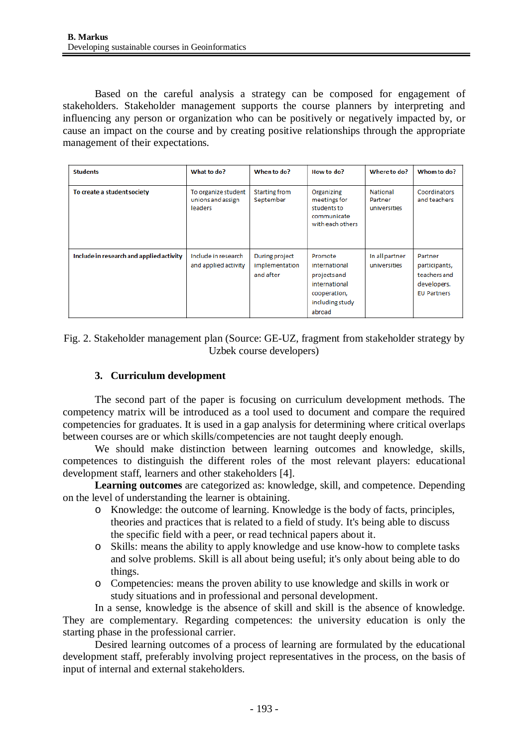Based on the careful analysis a strategy can be composed for engagement of stakeholders. Stakeholder management supports the course planners by interpreting and influencing any person or organization who can be positively or negatively impacted by, or cause an impact on the course and by creating positive relationships through the appropriate management of their expectations.

| <b>Students</b>                          | What to do?                                                | When to do?                                   | How to do?                                                                                             | Where to do?                               | Whom to do?                                                                   |
|------------------------------------------|------------------------------------------------------------|-----------------------------------------------|--------------------------------------------------------------------------------------------------------|--------------------------------------------|-------------------------------------------------------------------------------|
| To create a student society              | To organize student<br>unions and assign<br><b>leaders</b> | Starting from<br>September                    | Organizing<br>meetings for<br>students to<br>communicate<br>with each others                           | <b>National</b><br>Partner<br>universities | Coordinators<br>and teachers                                                  |
| Include in research and applied activity | Include in research<br>and applied activity                | During project<br>implementation<br>and after | Promote<br>international<br>projects and<br>international<br>cooperation,<br>including study<br>abroad | In all partner<br>universities             | Partner<br>participants,<br>teachers and<br>developers.<br><b>EU Partners</b> |

Fig. 2. Stakeholder management plan (Source: GE-UZ, fragment from stakeholder strategy by Uzbek course developers)

## **3. Curriculum development**

The second part of the paper is focusing on curriculum development methods. The competency matrix will be introduced as a tool used to document and compare the required competencies for graduates. It is used in a gap analysis for determining where critical overlaps between courses are or which skills/competencies are not taught deeply enough.

We should make distinction between learning outcomes and knowledge, skills, competences to distinguish the different roles of the most relevant players: educational development staff, learners and other stakeholders [4].

**Learning outcomes** are categorized as: knowledge, skill, and competence. Depending on the level of understanding the learner is obtaining.

- o Knowledge: the outcome of learning. Knowledge is the body of facts, principles, theories and practices that is related to a field of study. It's being able to discuss the specific field with a peer, or read technical papers about it.
- o Skills: means the ability to apply knowledge and use know-how to complete tasks and solve problems. Skill is all about being useful; it's only about being able to do things.
- o Competencies: means the proven ability to use knowledge and skills in work or study situations and in professional and personal development.

In a sense, knowledge is the absence of skill and skill is the absence of knowledge. They are complementary. Regarding competences: the university education is only the starting phase in the professional carrier.

Desired learning outcomes of a process of learning are formulated by the educational development staff, preferably involving project representatives in the process, on the basis of input of internal and external stakeholders.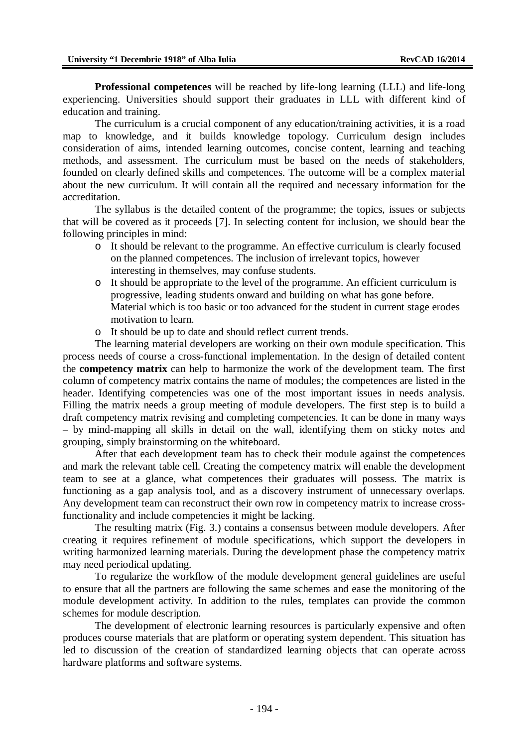**Professional competences** will be reached by life-long learning (LLL) and life-long experiencing. Universities should support their graduates in LLL with different kind of education and training.

The curriculum is a crucial component of any education/training activities, it is a road map to knowledge, and it builds knowledge topology. Curriculum design includes consideration of aims, intended learning outcomes, concise content, learning and teaching methods, and assessment. The curriculum must be based on the needs of stakeholders, founded on clearly defined skills and competences. The outcome will be a complex material about the new curriculum. It will contain all the required and necessary information for the accreditation.

The syllabus is the detailed content of the programme; the topics, issues or subjects that will be covered as it proceeds [7]. In selecting content for inclusion, we should bear the following principles in mind:

- o It should be relevant to the programme. An effective curriculum is clearly focused on the planned competences. The inclusion of irrelevant topics, however interesting in themselves, may confuse students.
- o It should be appropriate to the level of the programme. An efficient curriculum is progressive, leading students onward and building on what has gone before. Material which is too basic or too advanced for the student in current stage erodes motivation to learn.
- o It should be up to date and should reflect current trends.

The learning material developers are working on their own module specification. This process needs of course a cross-functional implementation. In the design of detailed content the **competency matrix** can help to harmonize the work of the development team. The first column of competency matrix contains the name of modules; the competences are listed in the header. Identifying competencies was one of the most important issues in needs analysis. Filling the matrix needs a group meeting of module developers. The first step is to build a draft competency matrix revising and completing competencies. It can be done in many ways – by mind-mapping all skills in detail on the wall, identifying them on sticky notes and grouping, simply brainstorming on the whiteboard.

After that each development team has to check their module against the competences and mark the relevant table cell. Creating the competency matrix will enable the development team to see at a glance, what competences their graduates will possess. The matrix is functioning as a gap analysis tool, and as a discovery instrument of unnecessary overlaps. Any development team can reconstruct their own row in competency matrix to increase crossfunctionality and include competencies it might be lacking.

The resulting matrix (Fig. 3.) contains a consensus between module developers. After creating it requires refinement of module specifications, which support the developers in writing harmonized learning materials. During the development phase the competency matrix may need periodical updating.

To regularize the workflow of the module development general guidelines are useful to ensure that all the partners are following the same schemes and ease the monitoring of the module development activity. In addition to the rules, templates can provide the common schemes for module description.

The development of electronic learning resources is particularly expensive and often produces course materials that are platform or operating system dependent. This situation has led to discussion of the creation of standardized learning objects that can operate across hardware platforms and software systems.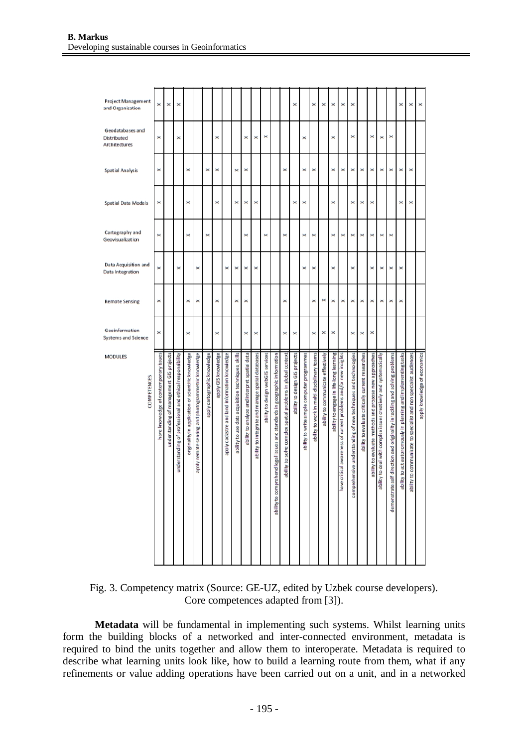| Project Management<br>and Organisation                  | ×                                     | ×                                        | ×                                                        |                                                    |                                                    |                              |                     |                                               |                                                    |                                               |                                                   |                                   |                                                                                |                                                             | ×                              |                                             | ×                                           | ×                                  | ×                                       | ×                                                               | ×                                                                   |                                                   |                                                        |                                                                       |                                                                                | ×                                                              | ×                                                                 | ×                            |
|---------------------------------------------------------|---------------------------------------|------------------------------------------|----------------------------------------------------------|----------------------------------------------------|----------------------------------------------------|------------------------------|---------------------|-----------------------------------------------|----------------------------------------------------|-----------------------------------------------|---------------------------------------------------|-----------------------------------|--------------------------------------------------------------------------------|-------------------------------------------------------------|--------------------------------|---------------------------------------------|---------------------------------------------|------------------------------------|-----------------------------------------|-----------------------------------------------------------------|---------------------------------------------------------------------|---------------------------------------------------|--------------------------------------------------------|-----------------------------------------------------------------------|--------------------------------------------------------------------------------|----------------------------------------------------------------|-------------------------------------------------------------------|------------------------------|
| Geodatabases and<br><b>Distributed</b><br>Architectures | ×                                     |                                          | ×                                                        |                                                    |                                                    |                              | ×                   |                                               |                                                    | ×                                             | ×                                                 | ×                                 |                                                                                |                                                             |                                | ×                                           |                                             |                                    | ×                                       |                                                                 | ×                                                                   |                                                   | ×                                                      | ×                                                                     | ×                                                                              |                                                                |                                                                   |                              |
| <b>Spatial Analysis</b>                                 | ×                                     |                                          |                                                          | ×                                                  |                                                    | ×                            | ×                   |                                               | ×                                                  | ×                                             |                                                   |                                   |                                                                                | ×                                                           |                                | ×                                           | $\times$                                    |                                    | ×                                       | ×                                                               | ×                                                                   | $\times$                                          | ×                                                      | ×                                                                     | ×                                                                              | ×                                                              | ×                                                                 |                              |
| <b>Spatial Data Models</b>                              | ×                                     |                                          |                                                          | ×                                                  |                                                    |                              | ×                   |                                               | ×                                                  | ×                                             | ×                                                 |                                   |                                                                                |                                                             | ×                              | ×                                           |                                             |                                    | ×                                       |                                                                 | ×                                                                   | ×                                                 | ×                                                      |                                                                       |                                                                                | ×                                                              | ×                                                                 |                              |
| Cartography and<br>Geovisualization                     | ×                                     |                                          |                                                          | ×                                                  |                                                    | ×                            |                     |                                               |                                                    | ×                                             |                                                   | ×                                 |                                                                                | ×                                                           |                                | ×                                           | ×                                           |                                    | ×                                       | ×                                                               | ×                                                                   | ×                                                 | $\boldsymbol{\times}$                                  | ×                                                                     | ×                                                                              |                                                                |                                                                   |                              |
| Data Acquisition and<br>Data Integration                | ×                                     |                                          | ×                                                        |                                                    | ×                                                  |                              |                     | ×                                             | ×                                                  | ×                                             | ×                                                 |                                   |                                                                                |                                                             |                                | ×                                           | $\times$                                    |                                    | ×                                       |                                                                 | ×                                                                   |                                                   | ×                                                      | ×                                                                     | ×                                                                              | ×                                                              |                                                                   |                              |
| <b>Remote Sensing</b>                                   | ×                                     |                                          |                                                          | ×                                                  | ×                                                  |                              | ×                   |                                               | ×                                                  | ×                                             |                                                   |                                   |                                                                                | ×                                                           |                                |                                             | ×                                           | ×                                  | ×                                       | ×                                                               | ×                                                                   | ×                                                 | ×                                                      | ×                                                                     | ×                                                                              | ×                                                              |                                                                   |                              |
| Geoinformation<br>Systems and Science                   | ×                                     |                                          |                                                          | ×                                                  |                                                    |                              | ×                   |                                               |                                                    | ×                                             | ×                                                 |                                   |                                                                                | ×                                                           | ×                              |                                             | ×                                           | ×                                  | ×                                       |                                                                 | $\times$                                                            | ×                                                 | ×                                                      |                                                                       |                                                                                |                                                                |                                                                   |                              |
| <b>MODULES</b><br><b>COMPETENCES</b>                    | have knowledge of contemporary issues | inderstanding of management GIS projects | understanding of professional and ethical responsibility | originality in application of scientific knowledge | apply remote sensing and photogrammetric knowledge | apply cartographic knowledge | apply GIS knowledge | apply cadastre and land information knowledge | ability to use data acquisition techniques, skills | ability to analyze and interpret spatial data | ability to integrate and manage spatial databases | ability to design webGIS services | prehend legal issues and standards in geographic information<br>ability to com | ability to solve complex spatial problems in global context | ability to design GIS projects | ability to write simple computer programmes | ability to work in multi-disciplinary teams | ability to communicate effectively | ability to engage in life-long learning | have critical awareness of current problems and/or new insights | rehensive understanding of new techniques and technologies<br>compr | ability to evaluate critically current researches | ability to evaluate methods and propose new approaches | bility to deal with complex issues creatively and systematically<br>ᅙ | self direction and originality in tackling and solving problems<br>demonstrate | ability to act autonomously in planning and implementing tasks | ability to communicate to specialist and non specialist audiences | apply knowledge of economics |

Fig. 3. Competency matrix (Source: GE-UZ, edited by Uzbek course developers). Core competences adapted from [3]).

**Metadata** will be fundamental in implementing such systems. Whilst learning units form the building blocks of a networked and inter-connected environment, metadata is required to bind the units together and allow them to interoperate. Metadata is required to describe what learning units look like, how to build a learning route from them, what if any refinements or value adding operations have been carried out on a unit, and in a networked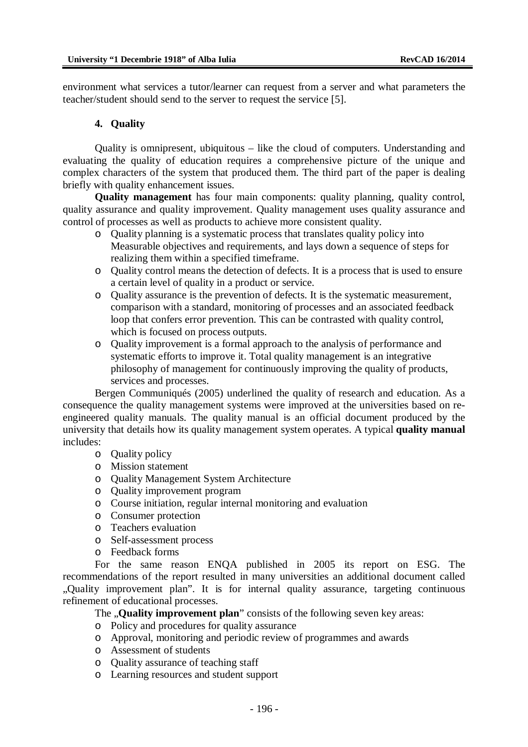environment what services a tutor/learner can request from a server and what parameters the teacher/student should send to the server to request the service [5].

#### **4. Quality**

Quality is omnipresent, ubiquitous – like the cloud of computers. Understanding and evaluating the quality of education requires a comprehensive picture of the unique and complex characters of the system that produced them. The third part of the paper is dealing briefly with quality enhancement issues.

**Quality management** has four main components: quality planning, quality control, quality assurance and quality improvement. Quality management uses quality assurance and control of processes as well as products to achieve more consistent quality.

- o Quality planning is a systematic process that translates quality policy into Measurable objectives and requirements, and lays down a sequence of steps for realizing them within a specified timeframe.
- o Quality control means the detection of defects. It is a process that is used to ensure a certain level of quality in a product or service.
- o Quality assurance is the prevention of defects. It is the systematic measurement, comparison with a standard, monitoring of processes and an associated feedback loop that confers error prevention. This can be contrasted with quality control, which is focused on process outputs.
- o Quality improvement is a formal approach to the analysis of performance and systematic efforts to improve it. Total quality management is an integrative philosophy of management for continuously improving the quality of products, services and processes.

Bergen Communiqués (2005) underlined the quality of research and education. As a consequence the quality management systems were improved at the universities based on reengineered quality manuals. The quality manual is an official document produced by the university that details how its quality management system operates. A typical **quality manual** includes:

- o Quality policy
- o Mission statement
- o Quality Management System Architecture
- o Quality improvement program
- o Course initiation, regular internal monitoring and evaluation
- o Consumer protection
- o Teachers evaluation
- o Self-assessment process
- o Feedback forms

For the same reason ENQA published in 2005 its report on ESG. The recommendations of the report resulted in many universities an additional document called "Quality improvement plan". It is for internal quality assurance, targeting continuous refinement of educational processes.

The **...Quality improvement plan**" consists of the following seven key areas:

- o Policy and procedures for quality assurance
- o Approval, monitoring and periodic review of programmes and awards
- o Assessment of students
- o Quality assurance of teaching staff
- o Learning resources and student support